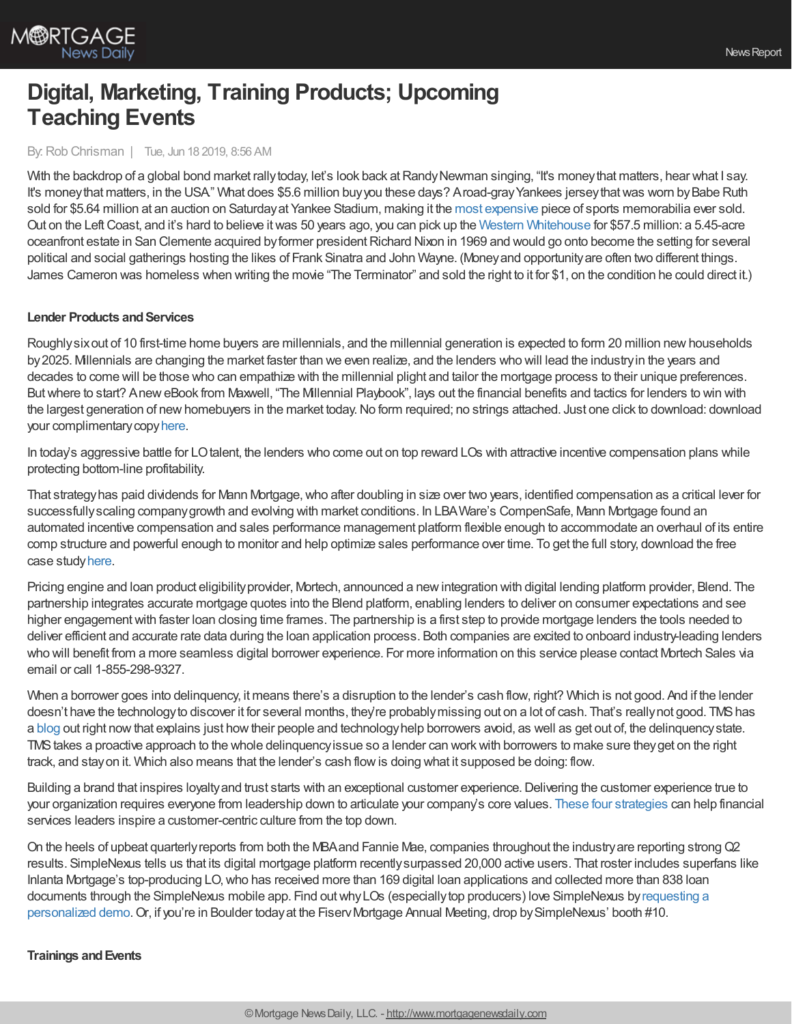

## **Digital, Marketing, Training Products; Upcoming Teaching Events**

## By:Rob Chrisman | Tue, Jun 18 2019, 8:56 AM

With the backdrop of a global bond market rally today, let's look back at Randy Newman singing, "It's money that matters, hear what I say. It's money that matters, in the USA" What does \$5.6 million buy you these days? Aroad-gray Yankees jersey that was worn by Babe Ruth sold for \$5.64 million at an auction on Saturdayat Yankee Stadium, making it the most [expensive](https://abcnews.go.com/Sports/rare-babe-ruth-jersey-break-record-44-million/story?id=63732567) piece of sports memorabilia ever sold. Out on the LeftCoast, and it's hard to believe itwas 50 years ago, you can pick up the Western [Whitehouse](http://fortune.com/2019/06/12/richard-nixon-western-white-house/) for \$57.5 million: a 5.45-acre oceanfront estate in San Clemente acquired by former president Richard Nixon in 1969 and would go onto become the setting for several political and social gatherings hosting the likes of Frank Sinatra and John Wayne. (Moneyand opportunityare often two different things. James Cameron was homeless when writing the movie "The Terminator" and sold the right to it for \$1, on the condition he could direct it.)

## **Lender Products and Services**

Roughlysixout of 10 first-time home buyers are millennials, and the millennial generation is expected to form 20 million newhouseholds by2025. Millennials are changing the market faster than we even realize, and the lenders who will lead the industryin the years and decades to come will be those who can empathize with the millennial plight and tailor the mortgage process to their unique preferences. But where to start? Anew eBook from Maxwell, "The Millennial Playbook", lays out the financial benefits and tactics for lenders to win with the largest generation of new homebuyers in the market today. No form required; no strings attached. Just one click to download: download your complimentarycopy[here](https://demo.himaxwell.com/l/493481/2019-03-25/43pxl3/493481/213180/The_Millennial_Playbook___Maxwell.pdf).

In today's aggressive battle for LOtalent, the lenders who come out on top reward LOs with attractive incentive compensation plans while protecting bottom-line profitability.

That strategyhas paid dividends for Mann Mortgage,who after doubling in size over two years, identified compensation as a critical lever for successfullyscaling companygrowth and evolving with market conditions. In LBAWare's CompenSafe, Mann Mortgage found an automated incentive compensation and sales performance management platform flexible enough to accommodate an overhaul of its entire comp structure and powerful enough to monitor and help optimize sales performance over time. To get the full story, download the free case study[here](http://bit.ly/2VVEfCx).

Pricing engine and loan product eligibilityprovider, Mortech, announced a newintegration with digital lending platform provider, Blend. The partnership integrates accurate mortgage quotes into the Blend platform, enabling lenders to deliver on consumer expectations and see higher engagement with faster loan closing time frames. The partnership is a first step to provide mortgage lenders the tools needed to deliver efficient and accurate rate data during the loan application process. Both companies are excited to onboard industry-leading lenders who will benefit from a more seamless digital borrower experience. For more information on this service please contact Mortech Sales via email or call 1-855-298-9327.

When a borrower goes into delinquency, it means there's a disruption to the lender's cash flow, right? Which is not good. And if the lender doesn't have the technology to discover it for several months, they're probably missing out on a lot of cash. That's really not good. TMS has a [blog](https://correspondent.themoneysource.com/connection/the-d-word-why-we-do-everything-in-our-power-to-help-customers-and-you-with-delinquencies/?org=1&utm_source=rob%20chrisman&utm_medium=email&utm_campaign=subserv_revenueblog) out right nowthat explains just howtheir people and technologyhelp borrowers avoid, as well as get out of, the delinquencystate. TMStakes a proactive approach to the whole delinquencyissue so a lender can workwith borrowers to make sure theyget on the right track, and stayon it. Which also means that the lender's cash flowis doing what it supposed be doing: flow.

Building a brand that inspires loyalty and trust starts with an exceptional customer experience. Delivering the customer experience true to your organization requires everyone from leadership down to articulate your company's core values. These four [strategies](https://blog.totalexpert.com/inspire-a-customer-centric-culture-from-the-top-down?utm_source=chrisman&utm_medium=referral&utm_campaign=te-blog&utm_content=blog) can help financial services leaders inspire a customer-centric culture from the top down.

On the heels of upbeat quarterlyreports from both the MBAand Fannie Mae, companies throughout the industryare reporting strongQ2 results. SimpleNexus tells us that its digital mortgage platform recentlysurpassed 20,000 active users. That roster includes superfans like Inlanta Mortgage's top-producing LO,who has received more than 169 digital loan applications and collected more than 838 loan documents through the SimpleNexus mobile app. Find outwhyLOs (especiallytop producers) love SimpleNexus byrequesting a personalized demo. Or, if you're in Boulder today at the Fiserv Mortgage Annual Meeting, drop by SimpleNexus' booth #10.

### **Trainings andEvents**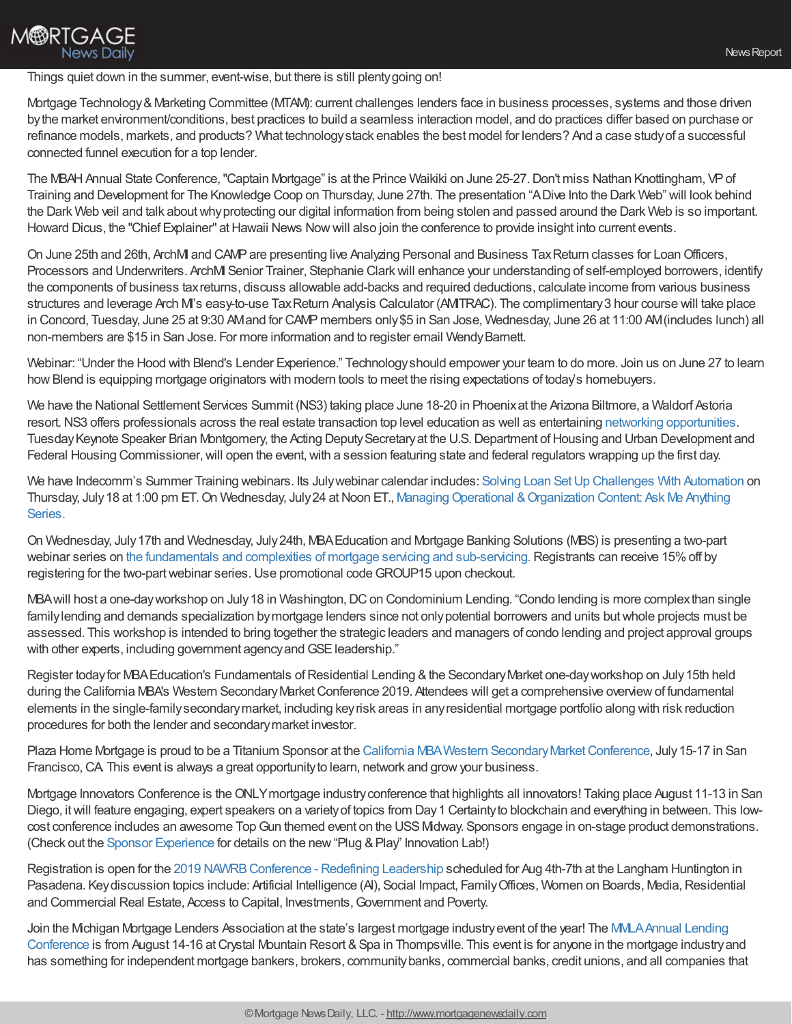## **M®RTGAGE News Daily**

## Things quiet down in the summer, event-wise, but there is still plentygoing on!

Mortgage Technology&Marketing Committee (MTAM): current challenges lenders face in business processes, systems and those driven bythe market environment/conditions, best practices to build a seamless interaction model, and do practices differ based on purchase or refinance models, markets, and products? What technologystack enables the best model for lenders? And a case studyof a successful connected funnel execution for a top lender.

The MBAH Annual State Conference, "Captain Mortgage" is at the Prince Waikiki on June 25-27. Don't miss Nathan Knottingham, VP of Training and Development for The Knowledge Coop on Thursday, June 27th. The presentation "ADive Into the Dark Web" will look behind the Dark Web veil and talk aboutwhyprotecting our digital information from being stolen and passed around the Dark Web is so important. Howard Dicus, the "Chief Explainer" at Hawaii News Now will also join the conference to provide insight into current events.

On June 25th and 26th, ArchM and CAMP are presenting live Analyzing Personal and Business Tax Return classes for Loan Officers, Processors and Underwriters. ArchMI Senior Trainer, Stephanie Clarkwill enhance your understanding of self-employed borrowers, identify the components of business taxreturns, discuss allowable add-backs and required deductions, calculate income from various business structures and leverage Arch MI's easy-to-use TaxReturn Analysis Calculator (AMITRAC). The complimentary3 hour course will take place in Concord, Tuesday, June 25 at 9:30 AMand for CAMP members only \$5 in San Jose, Wednesday, June 26 at 11:00 AM (includes lunch) all non-members are \$15 in San Jose. For more information and to register email WendyBarnett.

Webinar: "Under the Hood with Blend's Lender Experience." Technologyshould empower your team to do more. Join us on June 27 to learn how Blend is equipping mortgage originators with modern tools to meet the rising expectations of today's homebuyers.

We have the National Settlement Services Summit (NS3) taking place June 18-20 in Phoenixat the Arizona Biltmore, a Waldorf Astoria resort. NS3 offers professionals across the real estate transaction top level education as well as entertaining networking [opportunities](https://ns3thesummit.com/networking). Tuesday Keynote Speaker Brian Montgomery, the Acting Deputy Secretary at the U.S. Department of Housing and Urban Development and Federal Housing Commissioner, will open the event, with a session featuring state and federal regulators wrapping up the first day.

We have Indecomm's Summer Training webinars. Its Julywebinar calendar includes: Solving Loan Set Up [Challenges](https://indecomm.zoom.us/webinar/register/7115578610671/WN_A9-tYZRuRSawhL6_6qRPsQ) With Automation on Thursday, July 18 at 1:00 pm ET. On Wednesday, July 24 at Noon ET., Managing Operational & Organization Content: Ask Me Anything Series.

On Wednesday, July17th and Wednesday, July24th, MBAEducation and Mortgage Banking Solutions (MBS) is presenting a two-part webinar series on the fundamentals and complexities of mortgage servicing and [sub-servicing.](https://www.mba.org/store/events/webinar/mortgage-servicing-and-sub-servicing-part-i-overview?utm_source=Informz&utm_medium=Email&utm_campaign=mba%252Eorg#_zs9UHdA1_zlq7W85) Registrants can receive 15% off by registering for the two-part webinar series. Use promotional code GROUP15 upon checkout.

MBA will host a one-day workshop on July 18 in Washington, DC on Condominium Lending. "Condo lending is more complex than single familylending and demands specialization bymortgage lenders since not onlypotential borrowers and units butwhole projects must be assessed. This workshop is intended to bring together the strategic leaders and managers of condo lending and project approval groups with other experts, including government agency and GSE leadership."

Register today for MBA Education's Fundamentals of Residential Lending & the Secondary Market one-day workshop on July 15th held during the California MBA's Western Secondary Market Conference 2019. Attendees will get a comprehensive overview of fundamental elements in the single-familysecondarymarket, including keyrisk areas in anyresidential mortgage portfolio along with risk reduction procedures for both the lender and secondarymarket investor.

Plaza Home Mortgage is proud to be a Titanium Sponsor at the California MBA Western Secondary Market Conference, July 15-17 in San Francisco, CA. This event is always a great opportunity to learn, network and grow your business.

Mortgage Innovators Conference is theONLYmortgage industryconference that highlights all innovators! Taking place August 11-13 in San Diego, itwill feature engaging, expert speakers on a varietyof topics from Day1 Certaintyto blockchain and everything in between. This lowcost conference includes an awesome Top Gun themed event on the USS Midway. Sponsors engage in on-stage product demonstrations. (Check out the Sponsor [Experience](https://prezi.com/view/DwVf8UuQZtyIEdvOOnKL/) for details on the new "Plug & Play" Innovation Lab!)

Registration is open for the 2019 NAWRB Conference - Redefining Leadership scheduled for Aug 4th-7th at the Langham Huntington in Pasadena. Keydiscussion topics include: Artificial Intelligence (AI), Social Impact, Family Offices, Women on Boards, Media, Residential and Commercial Real Estate, Access to Capital, Investments,Government and Poverty.

Join the Michigan Mortgage Lenders Association at the state's largest mortgage industry event of the year! The MMLA Annual Lending Conference is from August 14-16 at Crystal Mountain Resort & Spa in Thompsville. This event is for anyone in the mortgage industry and has something for independent mortgage bankers, brokers, communitybanks, commercial banks, credit unions, and all companies that